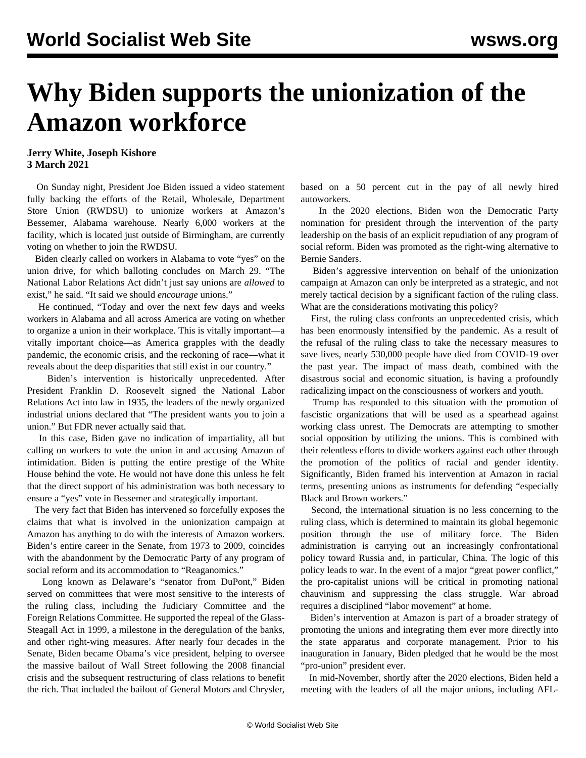## **Why Biden supports the unionization of the Amazon workforce**

## **Jerry White, Joseph Kishore 3 March 2021**

 On Sunday night, President Joe Biden issued a video statement fully backing the efforts of the Retail, Wholesale, Department Store Union (RWDSU) to unionize workers at Amazon's Bessemer, Alabama warehouse. Nearly 6,000 workers at the facility, which is located just outside of Birmingham, are currently voting on whether to join the RWDSU.

 Biden clearly called on workers in Alabama to vote "yes" on the union drive, for which balloting concludes on March 29. "The National Labor Relations Act didn't just say unions are *allowed* to exist," he said. "It said we should *encourage* unions."

 He continued, "Today and over the next few days and weeks workers in Alabama and all across America are voting on whether to organize a union in their workplace. This is vitally important—a vitally important choice—as America grapples with the deadly pandemic, the economic crisis, and the reckoning of race—what it reveals about the deep disparities that still exist in our country."

 Biden's intervention is historically unprecedented. After President Franklin D. Roosevelt signed the National Labor Relations Act into law in 1935, the leaders of the newly organized industrial unions declared that "The president wants you to join a union." But FDR never actually said that.

 In this case, Biden gave no indication of impartiality, all but calling on workers to vote the union in and accusing Amazon of intimidation. Biden is putting the entire prestige of the White House behind the vote. He would not have done this unless he felt that the direct support of his administration was both necessary to ensure a "yes" vote in Bessemer and strategically important.

 The very fact that Biden has intervened so forcefully exposes the claims that what is involved in the unionization campaign at Amazon has anything to do with the interests of Amazon workers. Biden's entire career in the Senate, from 1973 to 2009, coincides with the abandonment by the Democratic Party of any program of social reform and its accommodation to "Reaganomics."

 Long known as Delaware's "senator from DuPont," Biden served on committees that were most sensitive to the interests of the ruling class, including the Judiciary Committee and the Foreign Relations Committee. He supported the repeal of the Glass-Steagall Act in 1999, a milestone in the deregulation of the banks, and other right-wing measures. After nearly four decades in the Senate, Biden became Obama's vice president, helping to oversee the massive bailout of Wall Street following the 2008 financial crisis and the subsequent restructuring of class relations to benefit the rich. That included the bailout of General Motors and Chrysler, based on a 50 percent cut in the pay of all newly hired autoworkers.

 In the 2020 elections, Biden won the Democratic Party nomination for president through the intervention of the party leadership on the basis of an explicit repudiation of any program of social reform. Biden was promoted as the right-wing alternative to Bernie Sanders.

 Biden's aggressive intervention on behalf of the unionization campaign at Amazon can only be interpreted as a strategic, and not merely tactical decision by a significant faction of the ruling class. What are the considerations motivating this policy?

 First, the ruling class confronts an unprecedented crisis, which has been enormously intensified by the pandemic. As a result of the refusal of the ruling class to take the necessary measures to save lives, nearly 530,000 people have died from COVID-19 over the past year. The impact of mass death, combined with the disastrous social and economic situation, is having a profoundly radicalizing impact on the consciousness of workers and youth.

 Trump has responded to this situation with the promotion of fascistic organizations that will be used as a spearhead against working class unrest. The Democrats are attempting to smother social opposition by utilizing the unions. This is combined with their relentless efforts to divide workers against each other through the promotion of the politics of racial and gender identity. Significantly, Biden framed his intervention at Amazon in racial terms, presenting unions as instruments for defending "especially Black and Brown workers."

 Second, the international situation is no less concerning to the ruling class, which is determined to maintain its global hegemonic position through the use of military force. The Biden administration is carrying out an increasingly confrontational policy toward Russia and, in particular, China. The logic of this policy leads to war. In the event of a major "great power conflict," the pro-capitalist unions will be critical in promoting national chauvinism and suppressing the class struggle. War abroad requires a disciplined "labor movement" at home.

 Biden's intervention at Amazon is part of a broader strategy of promoting the unions and integrating them ever more directly into the state apparatus and corporate management. Prior to his inauguration in January, Biden pledged that he would be the most "pro-union" president ever.

 In mid-November, shortly after the 2020 elections, Biden held a meeting with the leaders of all the major unions, including AFL-